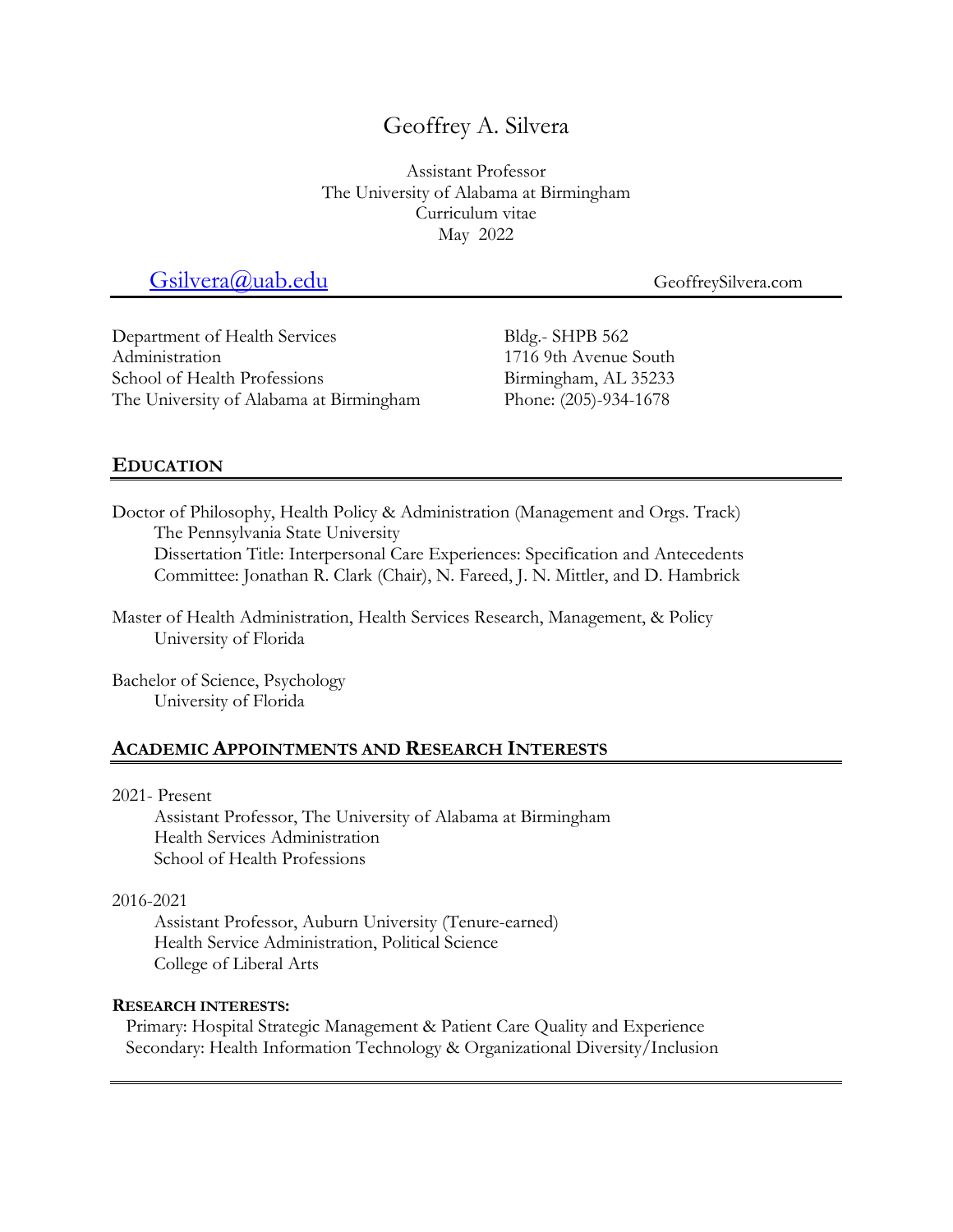# Geoffrey A. Silvera

Assistant Professor The University of Alabama at Birmingham Curriculum vitae May 2022

# Gsilvera@uab.edu GeoffreySilvera.com

Department of Health Services Administration School of Health Professions The University of Alabama at Birmingham Bldg.- SHPB 562 1716 9th Avenue South Birmingham, AL 35233 Phone: (205)-934-1678

# **EDUCATION**

Doctor of Philosophy, Health Policy & Administration (Management and Orgs. Track) The Pennsylvania State University

Dissertation Title: Interpersonal Care Experiences: Specification and Antecedents Committee: Jonathan R. Clark (Chair), N. Fareed, J. N. Mittler, and D. Hambrick

Master of Health Administration, Health Services Research, Management, & Policy University of Florida

Bachelor of Science, Psychology University of Florida

### **ACADEMIC APPOINTMENTS AND RESEARCH INTERESTS**

#### 2021- Present

Assistant Professor, The University of Alabama at Birmingham Health Services Administration School of Health Professions

#### 2016-2021

Assistant Professor, Auburn University (Tenure-earned) Health Service Administration, Political Science College of Liberal Arts

#### **RESEARCH INTERESTS:**

Primary: Hospital Strategic Management & Patient Care Quality and Experience Secondary: Health Information Technology & Organizational Diversity/Inclusion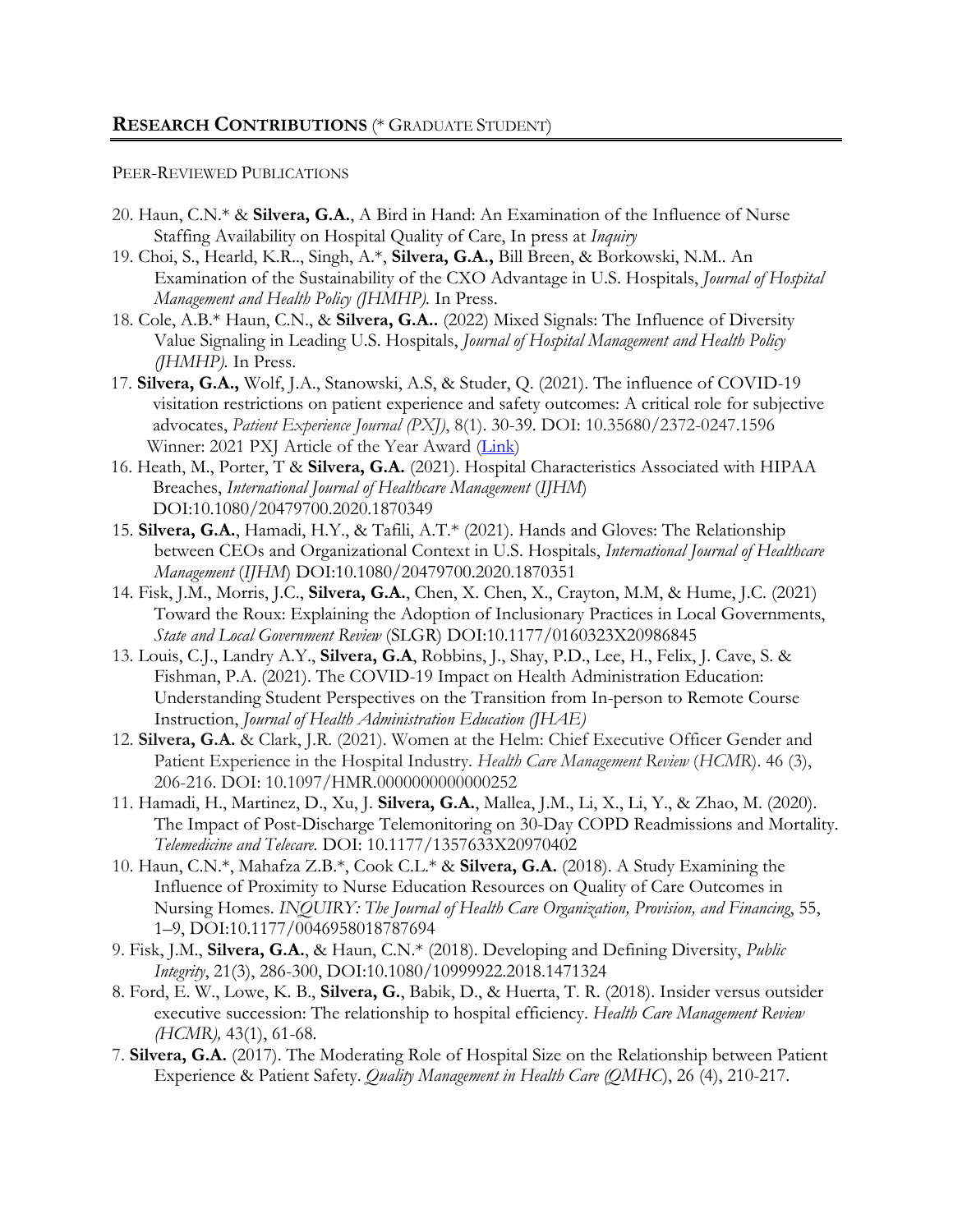#### PEER-REVIEWED PUBLICATIONS

- 20. Haun, C.N.\* & **Silvera, G.A.**, A Bird in Hand: An Examination of the Influence of Nurse Staffing Availability on Hospital Quality of Care, In press at *Inquiry*
- 19. Choi, S., Hearld, K.R.., Singh, A.\*, **Silvera, G.A.,** Bill Breen, & Borkowski, N.M.. An Examination of the Sustainability of the CXO Advantage in U.S. Hospitals, *Journal of Hospital Management and Health Policy (JHMHP).* In Press.
- 18. Cole, A.B.\* Haun, C.N., & **Silvera, G.A..** (2022) Mixed Signals: The Influence of Diversity Value Signaling in Leading U.S. Hospitals, *Journal of Hospital Management and Health Policy (JHMHP).* In Press.
- 17. **Silvera, G.A.,** Wolf, J.A., Stanowski, A.S, & Studer, Q. (2021). The influence of COVID-19 visitation restrictions on patient experience and safety outcomes: A critical role for subjective advocates, *Patient Experience Journal (PXJ)*, 8(1). 30-39. DOI: 10.35680/2372-0247.1596 Winner: 2021 PXJ Article of the Year Award (Link)
- 16. Heath, M., Porter, T & **Silvera, G.A.** (2021). Hospital Characteristics Associated with HIPAA Breaches, *International Journal of Healthcare Management* (*IJHM*) DOI:10.1080/20479700.2020.1870349
- 15. **Silvera, G.A.**, Hamadi, H.Y., & Tafili, A.T.\* (2021). Hands and Gloves: The Relationship between CEOs and Organizational Context in U.S. Hospitals, *International Journal of Healthcare Management* (*IJHM*) DOI:10.1080/20479700.2020.1870351
- 14. Fisk, J.M., Morris, J.C., **Silvera, G.A.**, Chen, X. Chen, X., Crayton, M.M, & Hume, J.C. (2021) Toward the Roux: Explaining the Adoption of Inclusionary Practices in Local Governments, *State and Local Government Review* (SLGR) DOI:10.1177/0160323X20986845
- 13. Louis, C.J., Landry A.Y., **Silvera, G.A**, Robbins, J., Shay, P.D., Lee, H., Felix, J. Cave, S. & Fishman, P.A. (2021). The COVID-19 Impact on Health Administration Education: Understanding Student Perspectives on the Transition from In-person to Remote Course Instruction, *Journal of Health Administration Education (JHAE)*
- 12. **Silvera, G.A.** & Clark, J.R. (2021). Women at the Helm: Chief Executive Officer Gender and Patient Experience in the Hospital Industry. *Health Care Management Review* (*HCMR*). 46 (3), 206-216. DOI: 10.1097/HMR.0000000000000252
- 11. Hamadi, H., Martinez, D., Xu, J. **Silvera, G.A.**, Mallea, J.M., Li, X., Li, Y., & Zhao, M. (2020). The Impact of Post-Discharge Telemonitoring on 30-Day COPD Readmissions and Mortality. *Telemedicine and Telecare.* DOI: 10.1177/1357633X20970402
- 10. Haun, C.N.\*, Mahafza Z.B.\*, Cook C.L.\* & **Silvera, G.A.** (2018). A Study Examining the Influence of Proximity to Nurse Education Resources on Quality of Care Outcomes in Nursing Homes. *INQUIRY: The Journal of Health Care Organization, Provision, and Financing*, 55, 1–9, DOI:10.1177/0046958018787694
- 9. Fisk, J.M., **Silvera, G.A.**, & Haun, C.N.\* (2018). Developing and Defining Diversity, *Public Integrity*, 21(3), 286-300, DOI:10.1080/10999922.2018.1471324
- 8. Ford, E. W., Lowe, K. B., **Silvera, G.**, Babik, D., & Huerta, T. R. (2018). Insider versus outsider executive succession: The relationship to hospital efficiency. *Health Care Management Review (HCMR),* 43(1), 61-68.
- 7. **Silvera, G.A.** (2017). The Moderating Role of Hospital Size on the Relationship between Patient Experience & Patient Safety. *Quality Management in Health Care (QMHC*), 26 (4), 210-217.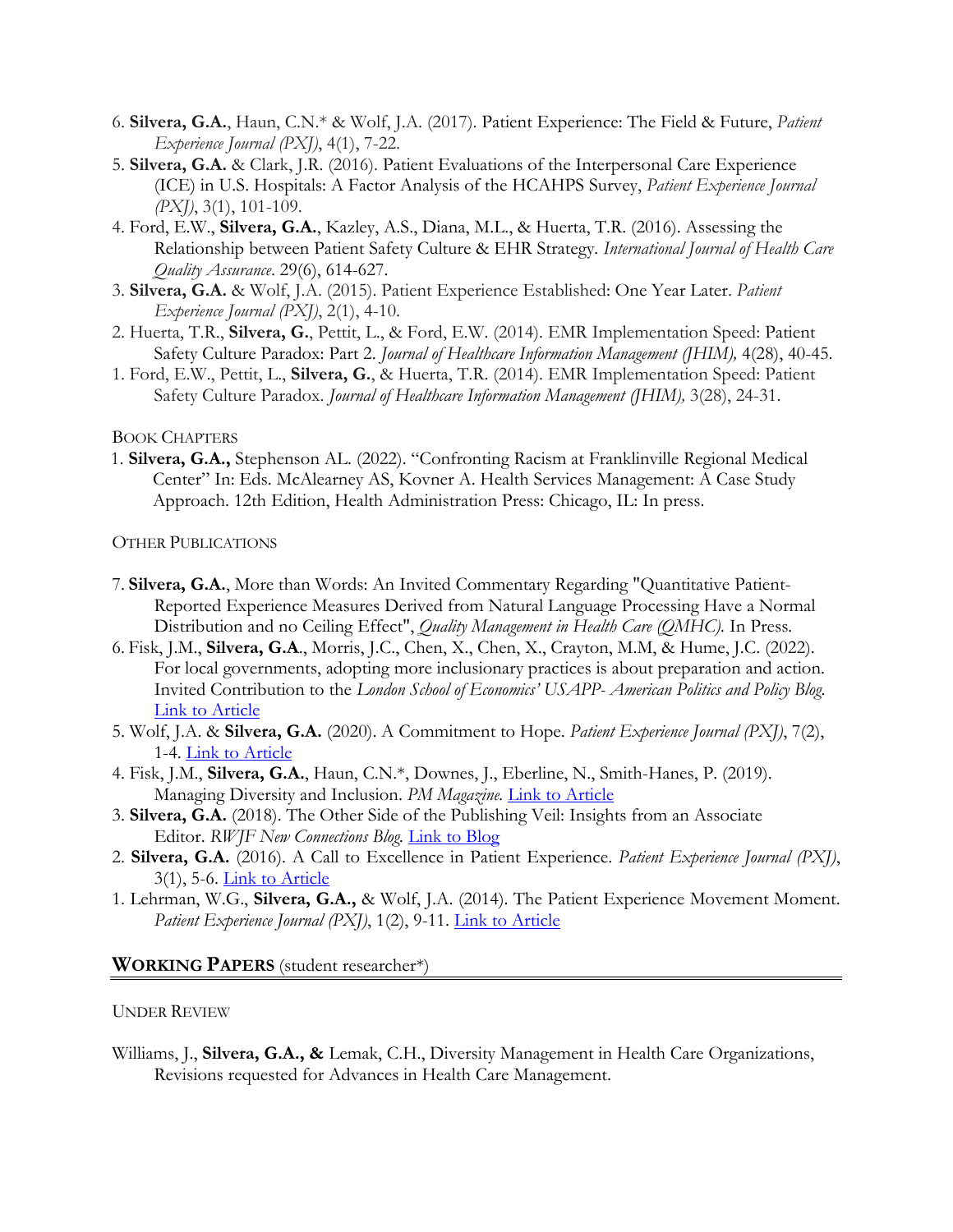- 6. **Silvera, G.A.**, Haun, C.N.\* & Wolf, J.A. (2017). Patient Experience: The Field & Future, *Patient Experience Journal (PXJ)*, 4(1), 7-22.
- 5. **Silvera, G.A.** & Clark, J.R. (2016). Patient Evaluations of the Interpersonal Care Experience (ICE) in U.S. Hospitals: A Factor Analysis of the HCAHPS Survey, *Patient Experience Journal (PXJ)*, 3(1), 101-109.
- 4. Ford, E.W., **Silvera, G.A.**, Kazley, A.S., Diana, M.L., & Huerta, T.R. (2016). Assessing the Relationship between Patient Safety Culture & EHR Strategy*. International Journal of Health Care Quality Assurance*. 29(6), 614-627.
- 3. **Silvera, G.A.** & Wolf, J.A. (2015). Patient Experience Established: One Year Later. *Patient Experience Journal (PXJ)*, 2(1), 4-10.
- 2. Huerta, T.R., **Silvera, G.**, Pettit, L., & Ford, E.W. (2014). EMR Implementation Speed: Patient Safety Culture Paradox: Part 2. *Journal of Healthcare Information Management (JHIM),* 4(28), 40-45.
- 1. Ford, E.W., Pettit, L., **Silvera, G.**, & Huerta, T.R. (2014). EMR Implementation Speed: Patient Safety Culture Paradox. *Journal of Healthcare Information Management (JHIM),* 3(28), 24-31.

#### BOOK CHAPTERS

1. **Silvera, G.A.,** Stephenson AL. (2022). "Confronting Racism at Franklinville Regional Medical Center" In: Eds. McAlearney AS, Kovner A. Health Services Management: A Case Study Approach. 12th Edition, Health Administration Press: Chicago, IL: In press.

#### OTHER PUBLICATIONS

- 7. **Silvera, G.A.**, More than Words: An Invited Commentary Regarding "Quantitative Patient-Reported Experience Measures Derived from Natural Language Processing Have a Normal Distribution and no Ceiling Effect", *Quality Management in Health Care (QMHC).* In Press*.*
- 6. Fisk, J.M., **Silvera, G.A**., Morris, J.C., Chen, X., Chen, X., Crayton, M.M, & Hume, J.C. (2022). For local governments, adopting more inclusionary practices is about preparation and action. Invited Contribution to the *London School of Economics' USAPP- American Politics and Policy Blog*. Link to Article
- 5. Wolf, J.A. & **Silvera, G.A.** (2020). A Commitment to Hope. *Patient Experience Journal (PXJ)*, 7(2), 1-4. Link to Article
- 4. Fisk, J.M., **Silvera, G.A.**, Haun, C.N.\*, Downes, J., Eberline, N., Smith-Hanes, P. (2019). Managing Diversity and Inclusion. *PM Magazine.* Link to Article
- 3. **Silvera, G.A.** (2018). The Other Side of the Publishing Veil: Insights from an Associate Editor. *RWJF New Connections Blog.* Link to Blog
- 2. **Silvera, G.A.** (2016). A Call to Excellence in Patient Experience. *Patient Experience Journal (PXJ)*, 3(1), 5-6. Link to Article
- 1. Lehrman, W.G., **Silvera, G.A.,** & Wolf, J.A. (2014). The Patient Experience Movement Moment. *Patient Experience Journal (PXJ)*, 1(2), 9-11. *Link to Article*

#### **WORKING PAPERS** (student researcher\*)

#### UNDER REVIEW

Williams, J., **Silvera, G.A., &** Lemak, C.H., Diversity Management in Health Care Organizations, Revisions requested for Advances in Health Care Management.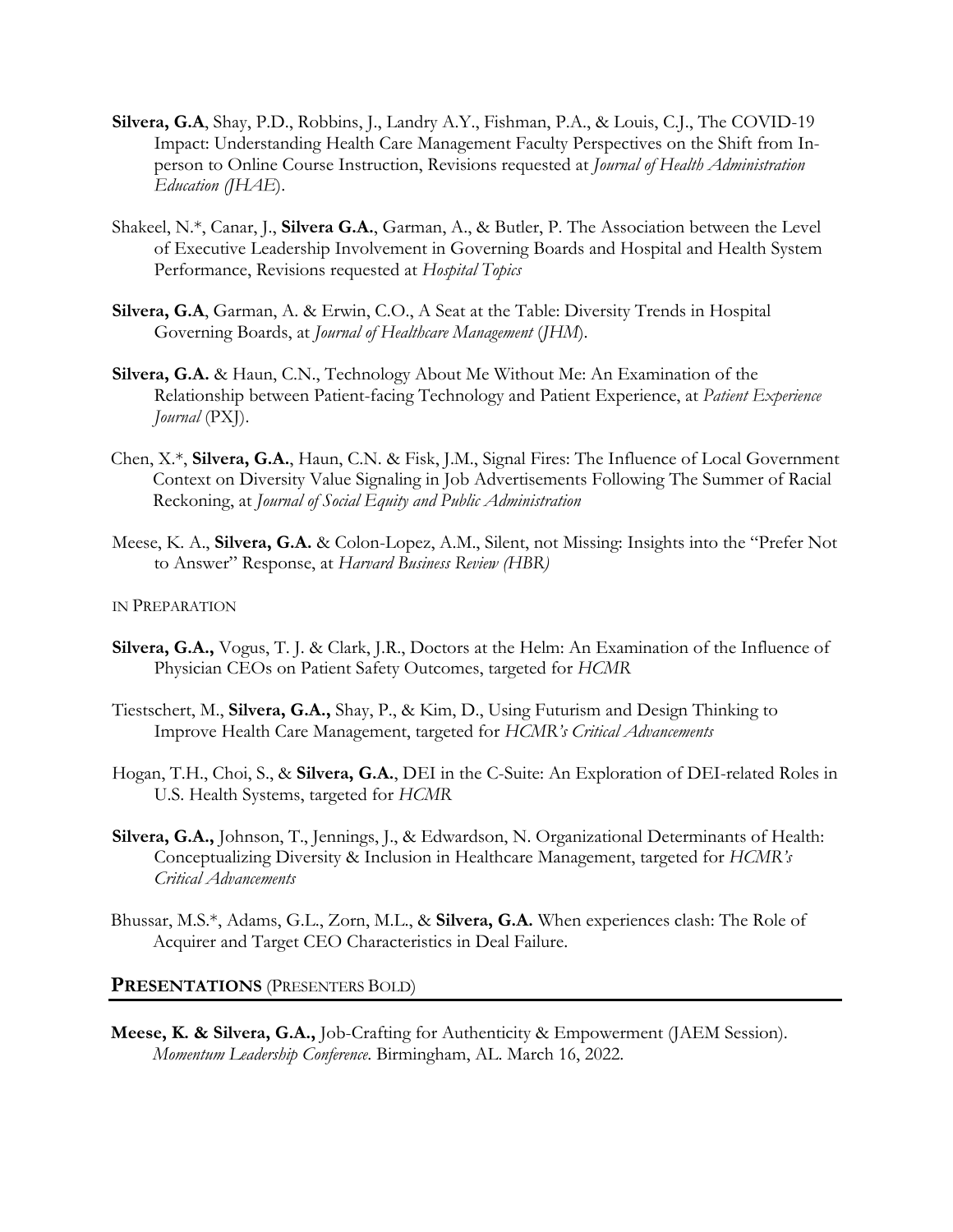- **Silvera, G.A**, Shay, P.D., Robbins, J., Landry A.Y., Fishman, P.A., & Louis, C.J., The COVID-19 Impact: Understanding Health Care Management Faculty Perspectives on the Shift from Inperson to Online Course Instruction, Revisions requested at *Journal of Health Administration Education (JHAE*).
- Shakeel, N.\*, Canar, J., **Silvera G.A.**, Garman, A., & Butler, P. The Association between the Level of Executive Leadership Involvement in Governing Boards and Hospital and Health System Performance, Revisions requested at *Hospital Topics*
- **Silvera, G.A**, Garman, A. & Erwin, C.O., A Seat at the Table: Diversity Trends in Hospital Governing Boards, at *Journal of Healthcare Management* (*JHM*).
- **Silvera, G.A.** & Haun, C.N., Technology About Me Without Me: An Examination of the Relationship between Patient-facing Technology and Patient Experience, at *Patient Experience Journal* (PXJ).
- Chen, X.\*, **Silvera, G.A.**, Haun, C.N. & Fisk, J.M., Signal Fires: The Influence of Local Government Context on Diversity Value Signaling in Job Advertisements Following The Summer of Racial Reckoning, at *Journal of Social Equity and Public Administration*
- Meese, K. A., **Silvera, G.A.** & Colon-Lopez, A.M., Silent, not Missing: Insights into the "Prefer Not to Answer" Response, at *Harvard Business Review (HBR)*

IN PREPARATION

- **Silvera, G.A.,** Vogus, T. J. & Clark, J.R., Doctors at the Helm: An Examination of the Influence of Physician CEOs on Patient Safety Outcomes, targeted for *HCMR*
- Tiestschert, M., **Silvera, G.A.,** Shay, P., & Kim, D., Using Futurism and Design Thinking to Improve Health Care Management, targeted for *HCMR's Critical Advancements*
- Hogan, T.H., Choi, S., & **Silvera, G.A.**, DEI in the C-Suite: An Exploration of DEI-related Roles in U.S. Health Systems, targeted for *HCMR*
- **Silvera, G.A.,** Johnson, T., Jennings, J., & Edwardson, N. Organizational Determinants of Health: Conceptualizing Diversity & Inclusion in Healthcare Management, targeted for *HCMR's Critical Advancements*
- Bhussar, M.S.\*, Adams, G.L., Zorn, M.L., & **Silvera, G.A.** When experiences clash: The Role of Acquirer and Target CEO Characteristics in Deal Failure.

#### **PRESENTATIONS** (PRESENTERS BOLD)

**Meese, K. & Silvera, G.A.,** Job-Crafting for Authenticity & Empowerment (JAEM Session). *Momentum Leadership Conference*. Birmingham, AL. March 16, 2022.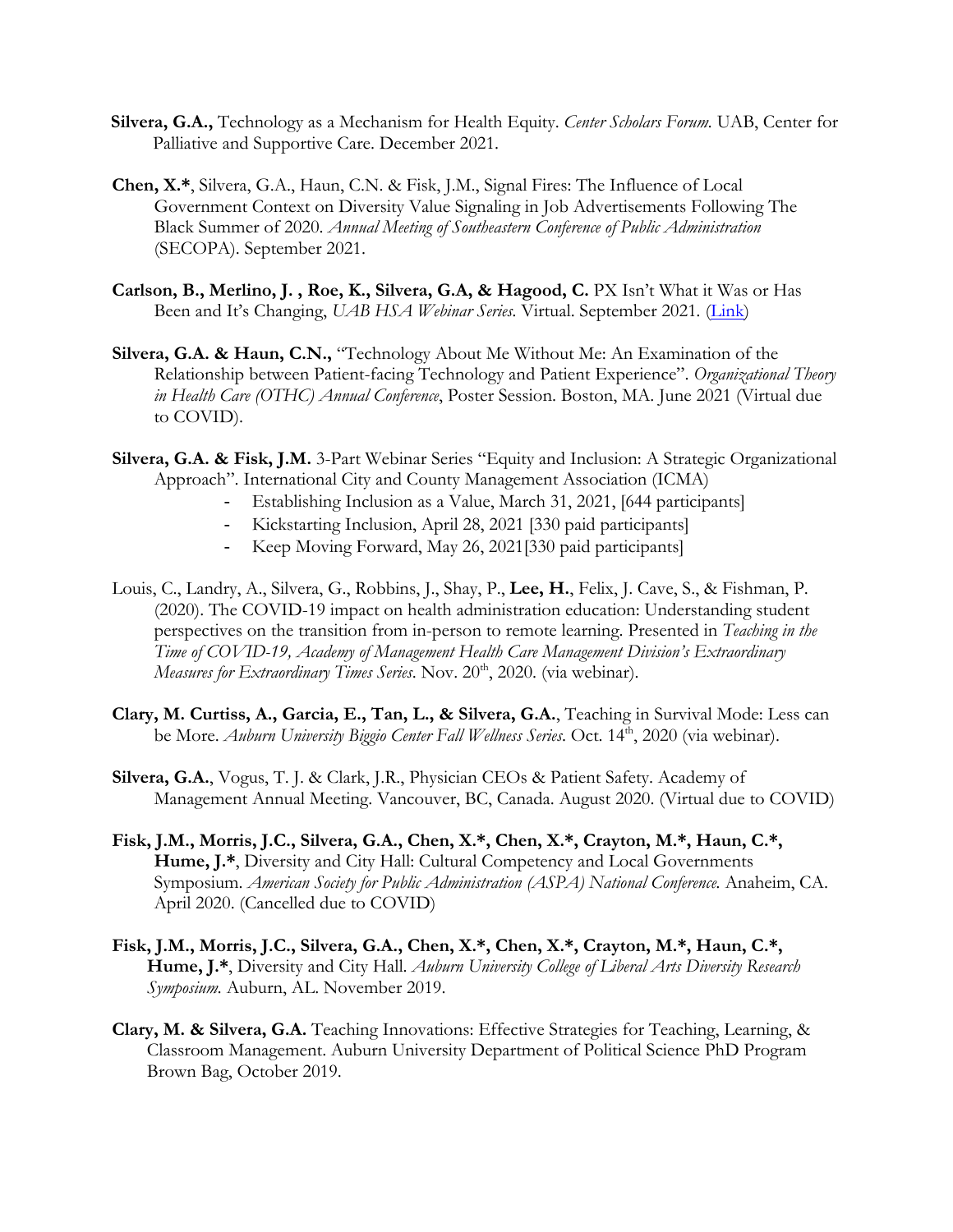- **Silvera, G.A.,** Technology as a Mechanism for Health Equity. *Center Scholars Forum.* UAB, Center for Palliative and Supportive Care. December 2021.
- **Chen, X.\***, Silvera, G.A., Haun, C.N. & Fisk, J.M., Signal Fires: The Influence of Local Government Context on Diversity Value Signaling in Job Advertisements Following The Black Summer of 2020. *Annual Meeting of Southeastern Conference of Public Administration* (SECOPA). September 2021.
- Carlson, B., Merlino, J., Roe, K., Silvera, G.A, & Hagood, C. PX Isn't What it Was or Has Been and It's Changing, *UAB HSA Webinar Series.* Virtual. September 2021*.* (Link)
- **Silvera, G.A. & Haun, C.N.,** "Technology About Me Without Me: An Examination of the Relationship between Patient-facing Technology and Patient Experience". *Organizational Theory in Health Care (OTHC) Annual Conference*, Poster Session. Boston, MA. June 2021 (Virtual due to COVID).
- **Silvera, G.A. & Fisk, J.M.** 3-Part Webinar Series "Equity and Inclusion: A Strategic Organizational Approach". International City and County Management Association (ICMA)
	- Establishing Inclusion as a Value, March 31, 2021, [644 participants]
	- Kickstarting Inclusion, April 28, 2021 [330 paid participants]
	- Keep Moving Forward, May 26, 2021[330 paid participants]
- Louis, C., Landry, A., Silvera, G., Robbins, J., Shay, P., **Lee, H.**, Felix, J. Cave, S., & Fishman, P. (2020). The COVID-19 impact on health administration education: Understanding student perspectives on the transition from in-person to remote learning. Presented in *Teaching in the Time of COVID-19, Academy of Management Health Care Management Division's Extraordinary Measures for Extraordinary Times Series*. Nov. 20<sup>th</sup>, 2020. (via webinar).
- **Clary, M. Curtiss, A., Garcia, E., Tan, L., & Silvera, G.A.**, Teaching in Survival Mode: Less can be More. *Auburn University Biggio Center Fall Wellness Series*. Oct. 14<sup>th</sup>, 2020 (via webinar).
- **Silvera, G.A.**, Vogus, T. J. & Clark, J.R., Physician CEOs & Patient Safety. Academy of Management Annual Meeting. Vancouver, BC, Canada. August 2020. (Virtual due to COVID)
- **Fisk, J.M., Morris, J.C., Silvera, G.A., Chen, X.\*, Chen, X.\*, Crayton, M.\*, Haun, C.\*, Hume, J.\***, Diversity and City Hall: Cultural Competency and Local Governments Symposium. *American Society for Public Administration (ASPA) National Conference.* Anaheim, CA. April 2020. (Cancelled due to COVID)
- **Fisk, J.M., Morris, J.C., Silvera, G.A., Chen, X.\*, Chen, X.\*, Crayton, M.\*, Haun, C.\*, Hume, J.\***, Diversity and City Hall. *Auburn University College of Liberal Arts Diversity Research Symposium.* Auburn, AL. November 2019.
- **Clary, M. & Silvera, G.A.** Teaching Innovations: Effective Strategies for Teaching, Learning, & Classroom Management. Auburn University Department of Political Science PhD Program Brown Bag, October 2019.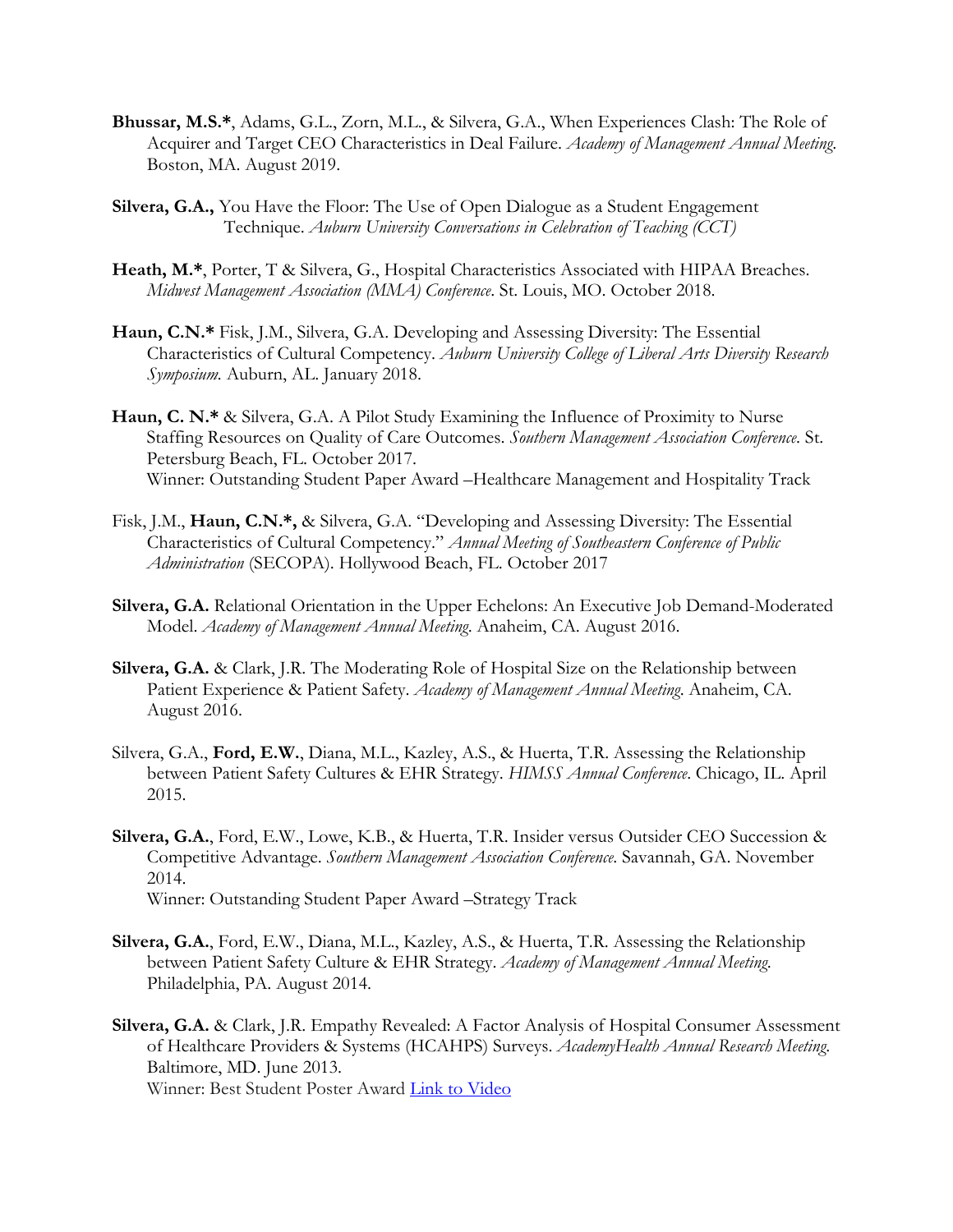- **Bhussar, M.S.\***, Adams, G.L., Zorn, M.L., & Silvera, G.A., When Experiences Clash: The Role of Acquirer and Target CEO Characteristics in Deal Failure. *Academy of Management Annual Meeting*. Boston, MA. August 2019.
- **Silvera, G.A.,** You Have the Floor: The Use of Open Dialogue as a Student Engagement Technique. *Auburn University Conversations in Celebration of Teaching (CCT)*
- **Heath, M.\***, Porter, T & Silvera, G., Hospital Characteristics Associated with HIPAA Breaches. *Midwest Management Association (MMA) Conference*. St. Louis, MO. October 2018.
- **Haun, C.N.\*** Fisk, J.M., Silvera, G.A. Developing and Assessing Diversity: The Essential Characteristics of Cultural Competency. *Auburn University College of Liberal Arts Diversity Research Symposium.* Auburn, AL. January 2018.
- **Haun, C. N.\*** & Silvera, G.A. A Pilot Study Examining the Influence of Proximity to Nurse Staffing Resources on Quality of Care Outcomes. *Southern Management Association Conference*. St. Petersburg Beach, FL. October 2017. Winner: Outstanding Student Paper Award –Healthcare Management and Hospitality Track
- Fisk, J.M., **Haun, C.N.\*,** & Silvera, G.A. "Developing and Assessing Diversity: The Essential Characteristics of Cultural Competency." *Annual Meeting of Southeastern Conference of Public Administration* (SECOPA). Hollywood Beach, FL. October 2017
- **Silvera, G.A.** Relational Orientation in the Upper Echelons: An Executive Job Demand-Moderated Model. *Academy of Management Annual Meeting*. Anaheim, CA. August 2016.
- **Silvera, G.A.** & Clark, J.R. The Moderating Role of Hospital Size on the Relationship between Patient Experience & Patient Safety. *Academy of Management Annual Meeting*. Anaheim, CA. August 2016.
- Silvera, G.A., **Ford, E.W.**, Diana, M.L., Kazley, A.S., & Huerta, T.R. Assessing the Relationship between Patient Safety Cultures & EHR Strategy. *HIMSS Annual Conference*. Chicago, IL. April 2015.
- **Silvera, G.A.**, Ford, E.W., Lowe, K.B., & Huerta, T.R. Insider versus Outsider CEO Succession & Competitive Advantage. *Southern Management Association Conference*. Savannah, GA. November 2014. Winner: Outstanding Student Paper Award –Strategy Track
- **Silvera, G.A.**, Ford, E.W., Diana, M.L., Kazley, A.S., & Huerta, T.R. Assessing the Relationship between Patient Safety Culture & EHR Strategy. *Academy of Management Annual Meeting*. Philadelphia, PA. August 2014.
- **Silvera, G.A.** & Clark, J.R. Empathy Revealed: A Factor Analysis of Hospital Consumer Assessment of Healthcare Providers & Systems (HCAHPS) Surveys. *AcademyHealth Annual Research Meeting*. Baltimore, MD. June 2013. Winner: Best Student Poster Award Link to Video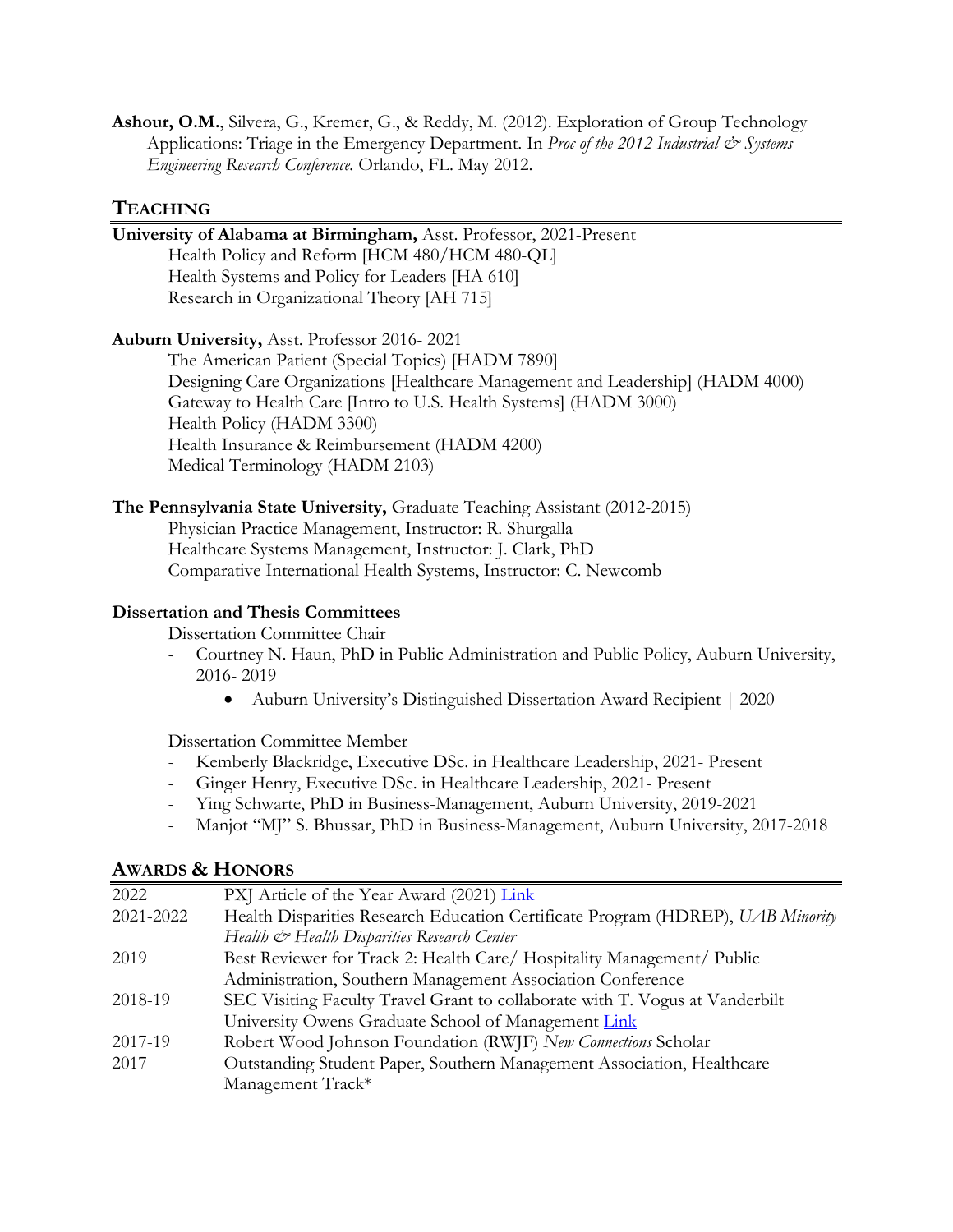**Ashour, O.M.**, Silvera, G., Kremer, G., & Reddy, M. (2012). Exploration of Group Technology Applications: Triage in the Emergency Department. In *Proc of the 2012 Industrial*  $\mathcal{Q}$  *Systems Engineering Research Conference.* Orlando, FL. May 2012.

#### **TEACHING**

## **University of Alabama at Birmingham,** Asst. Professor, 2021-Present Health Policy and Reform [HCM 480/HCM 480-QL] Health Systems and Policy for Leaders [HA 610] Research in Organizational Theory [AH 715] **Auburn University,** Asst. Professor 2016- 2021 The American Patient (Special Topics) [HADM 7890] Designing Care Organizations [Healthcare Management and Leadership] (HADM 4000) Gateway to Health Care [Intro to U.S. Health Systems] (HADM 3000) Health Policy (HADM 3300) Health Insurance & Reimbursement (HADM 4200) Medical Terminology (HADM 2103)

**The Pennsylvania State University,** Graduate Teaching Assistant (2012-2015)

Physician Practice Management, Instructor: R. Shurgalla Healthcare Systems Management, Instructor: J. Clark, PhD Comparative International Health Systems, Instructor: C. Newcomb

#### **Dissertation and Thesis Committees**

Dissertation Committee Chair

- Courtney N. Haun, PhD in Public Administration and Public Policy, Auburn University, 2016- 2019
	- Auburn University's Distinguished Dissertation Award Recipient | 2020

Dissertation Committee Member

- Kemberly Blackridge, Executive DSc. in Healthcare Leadership, 2021- Present
- Ginger Henry, Executive DSc. in Healthcare Leadership, 2021- Present
- Ying Schwarte, PhD in Business-Management, Auburn University, 2019-2021
- Manjot "MJ" S. Bhussar, PhD in Business-Management, Auburn University, 2017-2018

### **AWARDS & HONORS**

| 2022      | PXJ Article of the Year Award (2021) Link                                       |
|-----------|---------------------------------------------------------------------------------|
| 2021-2022 | Health Disparities Research Education Certificate Program (HDREP), UAB Minority |
|           | Health & Health Disparities Research Center                                     |
| 2019      | Best Reviewer for Track 2: Health Care/ Hospitality Management/ Public          |
|           | Administration, Southern Management Association Conference                      |
| 2018-19   | SEC Visiting Faculty Travel Grant to collaborate with T. Vogus at Vanderbilt    |
|           | University Owens Graduate School of Management Link                             |
| 2017-19   | Robert Wood Johnson Foundation (RWJF) New Connections Scholar                   |
| 2017      | Outstanding Student Paper, Southern Management Association, Healthcare          |
|           | Management Track*                                                               |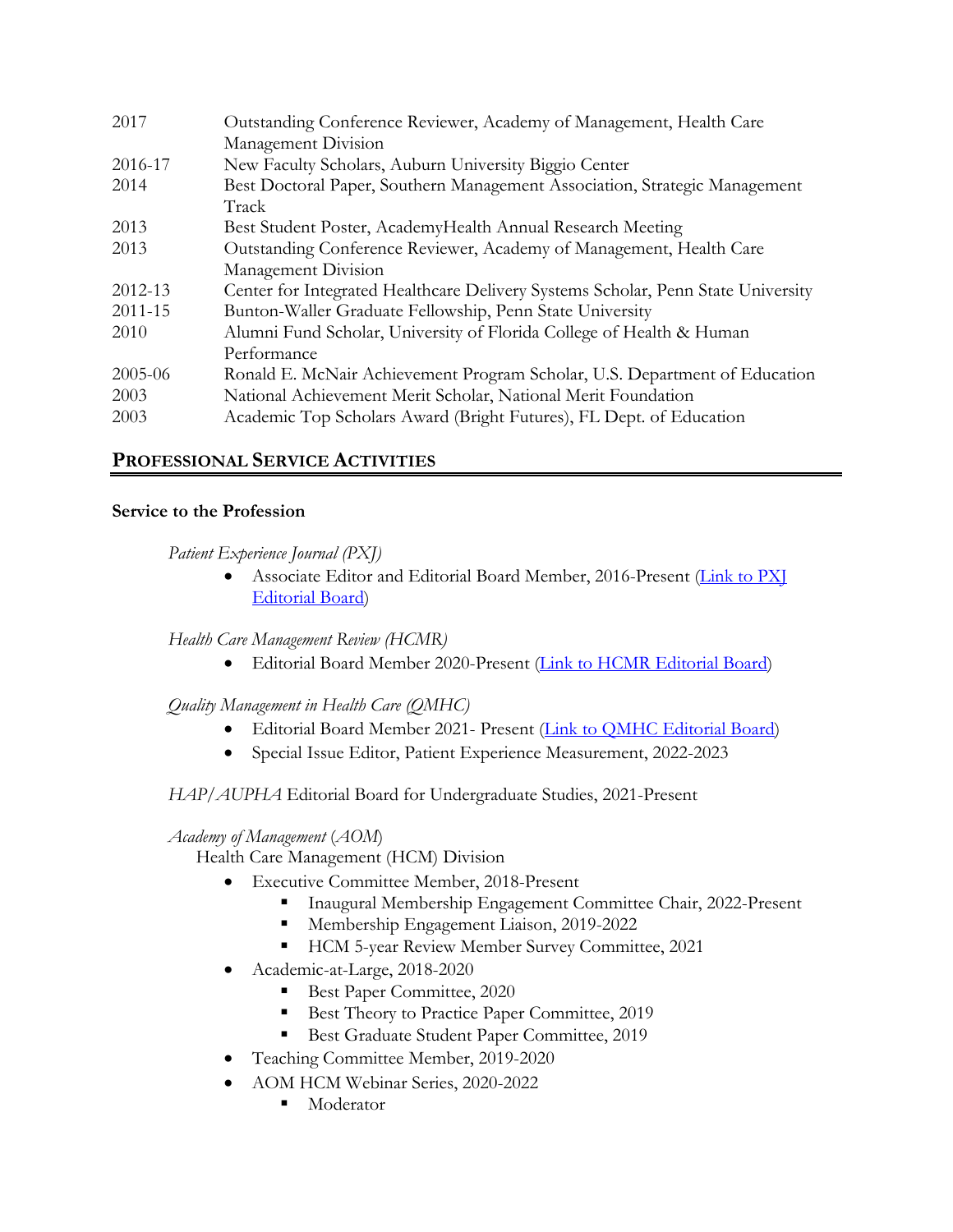| 2017    | Outstanding Conference Reviewer, Academy of Management, Health Care              |
|---------|----------------------------------------------------------------------------------|
|         | Management Division                                                              |
| 2016-17 | New Faculty Scholars, Auburn University Biggio Center                            |
| 2014    | Best Doctoral Paper, Southern Management Association, Strategic Management       |
|         | Track                                                                            |
| 2013    | Best Student Poster, AcademyHealth Annual Research Meeting                       |
| 2013    | Outstanding Conference Reviewer, Academy of Management, Health Care              |
|         | Management Division                                                              |
| 2012-13 | Center for Integrated Healthcare Delivery Systems Scholar, Penn State University |
| 2011-15 | Bunton-Waller Graduate Fellowship, Penn State University                         |
| 2010    | Alumni Fund Scholar, University of Florida College of Health & Human             |
|         | Performance                                                                      |
| 2005-06 | Ronald E. McNair Achievement Program Scholar, U.S. Department of Education       |
| 2003    | National Achievement Merit Scholar, National Merit Foundation                    |
| 2003    | Academic Top Scholars Award (Bright Futures), FL Dept. of Education              |

# **PROFESSIONAL SERVICE ACTIVITIES**

#### **Service to the Profession**

*Patient Experience Journal (PXJ)*

• Associate Editor and Editorial Board Member, 2016-Present (Link to PXI Editorial Board)

*Health Care Management Review (HCMR)*

• Editorial Board Member 2020-Present (Link to HCMR Editorial Board)

*Quality Management in Health Care (QMHC)*

- Editorial Board Member 2021- Present (Link to QMHC Editorial Board)
- Special Issue Editor, Patient Experience Measurement, 2022-2023

### *HAP/AUPHA* Editorial Board for Undergraduate Studies, 2021-Present

### *Academy of Management* (*AOM*)

Health Care Management (HCM) Division

- Executive Committee Member, 2018-Present
	- § Inaugural Membership Engagement Committee Chair, 2022-Present
	- Membership Engagement Liaison, 2019-2022
	- HCM 5-year Review Member Survey Committee, 2021
- Academic-at-Large, 2018-2020
	- Best Paper Committee, 2020
	- Best Theory to Practice Paper Committee, 2019
	- Best Graduate Student Paper Committee, 2019
- Teaching Committee Member, 2019-2020
- AOM HCM Webinar Series, 2020-2022
	- Moderator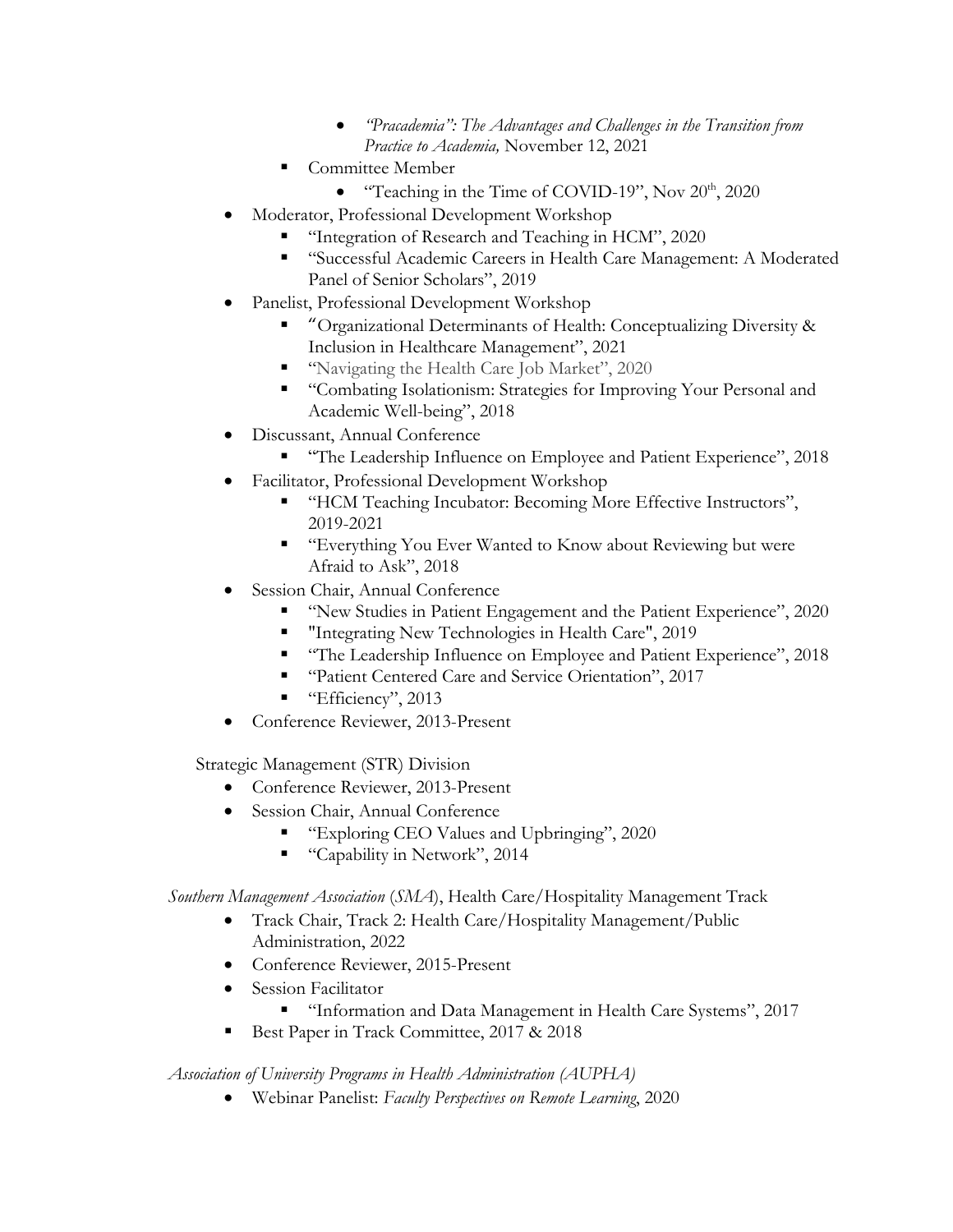- *"Pracademia": The Advantages and Challenges in the Transition from Practice to Academia,* November 12, 2021
- § Committee Member
	- "Teaching in the Time of COVID-19", Nov  $20<sup>th</sup>$ ,  $2020$
- Moderator, Professional Development Workshop
	- § "Integration of Research and Teaching in HCM", 2020
	- "Successful Academic Careers in Health Care Management: A Moderated Panel of Senior Scholars", 2019
- Panelist, Professional Development Workshop
	- § "Organizational Determinants of Health: Conceptualizing Diversity & Inclusion in Healthcare Management", 2021
	- "Navigating the Health Care Job Market", 2020
	- "Combating Isolationism: Strategies for Improving Your Personal and Academic Well-being", 2018
- Discussant, Annual Conference
	- § "The Leadership Influence on Employee and Patient Experience", 2018
	- Facilitator, Professional Development Workshop
		- "HCM Teaching Incubator: Becoming More Effective Instructors", 2019-2021
		- "Everything You Ever Wanted to Know about Reviewing but were Afraid to Ask", 2018
- Session Chair, Annual Conference
	- "New Studies in Patient Engagement and the Patient Experience", 2020
	- "Integrating New Technologies in Health Care", 2019
	- "The Leadership Influence on Employee and Patient Experience", 2018
	- "Patient Centered Care and Service Orientation", 2017
	- "Efficiency", 2013
- Conference Reviewer, 2013-Present

Strategic Management (STR) Division

- Conference Reviewer, 2013-Present
- Session Chair, Annual Conference
	- § "Exploring CEO Values and Upbringing", 2020
	- "Capability in Network", 2014

*Southern Management Association* (*SMA*), Health Care/Hospitality Management Track

- Track Chair, Track 2: Health Care/Hospitality Management/Public Administration, 2022
- Conference Reviewer, 2015-Present
- Session Facilitator
	- "Information and Data Management in Health Care Systems", 2017
- Best Paper in Track Committee, 2017 & 2018

*Association of University Programs in Health Administration (AUPHA)*

• Webinar Panelist: *Faculty Perspectives on Remote Learning*, 2020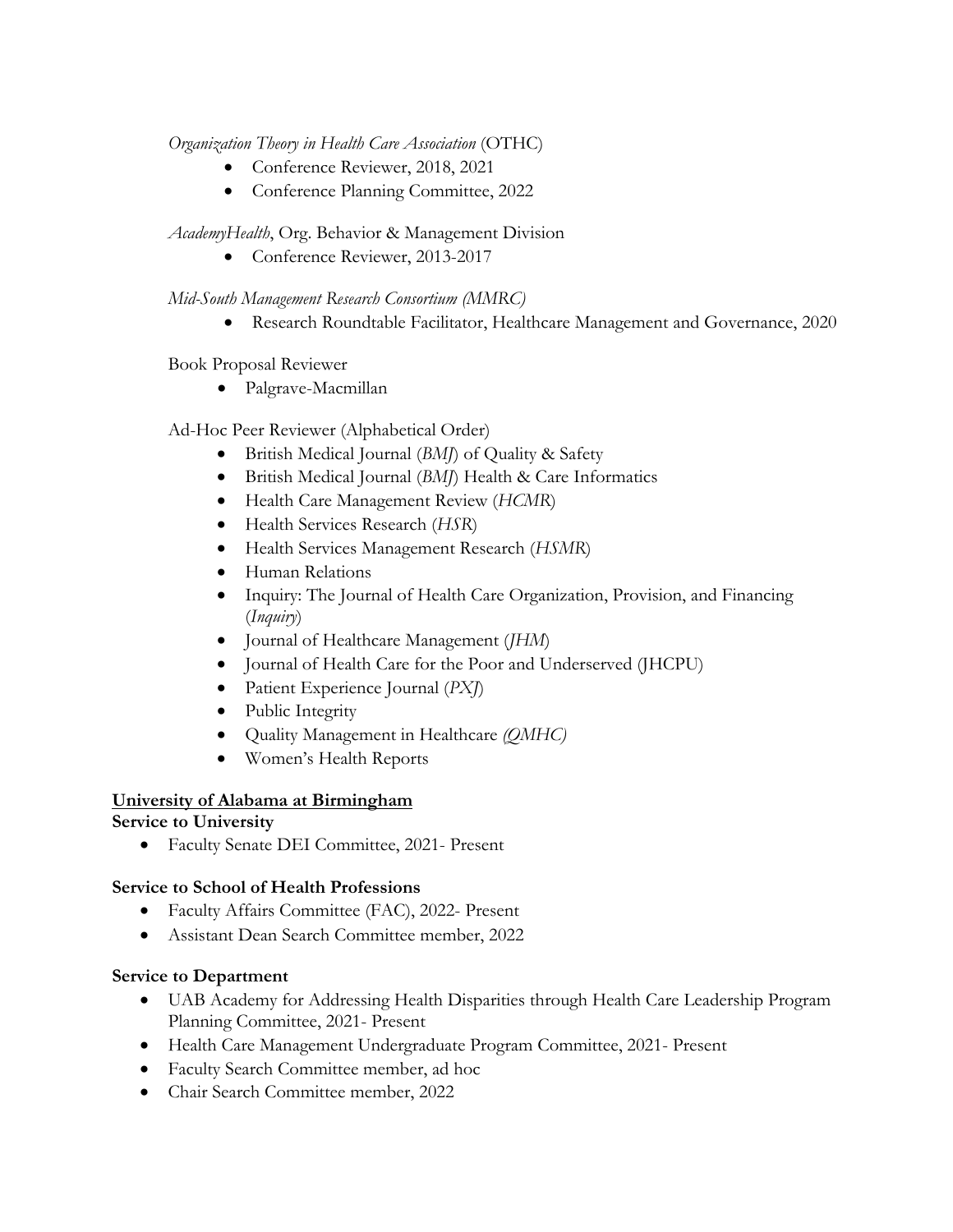*Organization Theory in Health Care Association* (OTHC)

- Conference Reviewer, 2018, 2021
- Conference Planning Committee, 2022

### *AcademyHealth*, Org. Behavior & Management Division

• Conference Reviewer, 2013-2017

### *Mid-South Management Research Consortium (MMRC)*

• Research Roundtable Facilitator, Healthcare Management and Governance, 2020

#### Book Proposal Reviewer

• Palgrave-Macmillan

### Ad-Hoc Peer Reviewer (Alphabetical Order)

- British Medical Journal (*BMJ*) of Quality & Safety
- British Medical Journal (*BMJ*) Health & Care Informatics
- Health Care Management Review (*HCMR*)
- Health Services Research (*HSR*)
- Health Services Management Research (*HSMR*)
- Human Relations
- Inquiry: The Journal of Health Care Organization, Provision, and Financing (*Inquiry*)
- Journal of Healthcare Management (*JHM*)
- Journal of Health Care for the Poor and Underserved (JHCPU)
- Patient Experience Journal (*PXJ*)
- Public Integrity
- Quality Management in Healthcare *(QMHC)*
- Women's Health Reports

### **University of Alabama at Birmingham**

### **Service to University**

• Faculty Senate DEI Committee, 2021- Present

### **Service to School of Health Professions**

- Faculty Affairs Committee (FAC), 2022- Present
- Assistant Dean Search Committee member, 2022

#### **Service to Department**

- UAB Academy for Addressing Health Disparities through Health Care Leadership Program Planning Committee, 2021- Present
- Health Care Management Undergraduate Program Committee, 2021- Present
- Faculty Search Committee member, ad hoc
- Chair Search Committee member, 2022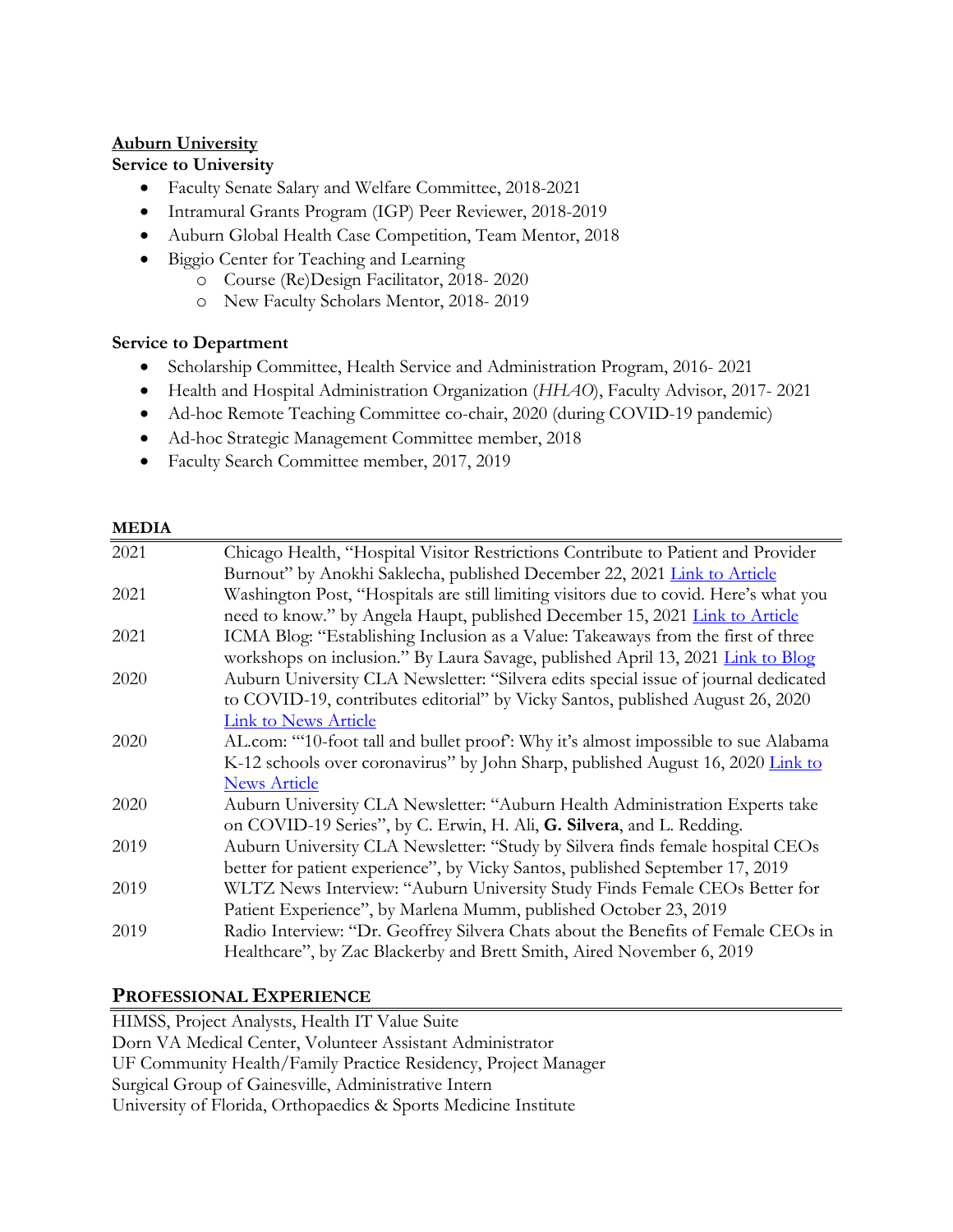### **Auburn University**

#### **Service to University**

- Faculty Senate Salary and Welfare Committee, 2018-2021
- Intramural Grants Program (IGP) Peer Reviewer, 2018-2019
- Auburn Global Health Case Competition, Team Mentor, 2018
- Biggio Center for Teaching and Learning
	- o Course (Re)Design Facilitator, 2018- 2020
		- o New Faculty Scholars Mentor, 2018- 2019

#### **Service to Department**

- Scholarship Committee, Health Service and Administration Program, 2016- 2021
- Health and Hospital Administration Organization (*HHAO*), Faculty Advisor, 2017- 2021
- Ad-hoc Remote Teaching Committee co-chair, 2020 (during COVID-19 pandemic)
- Ad-hoc Strategic Management Committee member, 2018
- Faculty Search Committee member, 2017, 2019

#### **MEDIA**

| 2021 | Chicago Health, "Hospital Visitor Restrictions Contribute to Patient and Provider     |
|------|---------------------------------------------------------------------------------------|
|      | Burnout" by Anokhi Saklecha, published December 22, 2021 Link to Article              |
| 2021 | Washington Post, "Hospitals are still limiting visitors due to covid. Here's what you |
|      | need to know." by Angela Haupt, published December 15, 2021 Link to Article           |
| 2021 | ICMA Blog: "Establishing Inclusion as a Value: Takeaways from the first of three      |
|      | workshops on inclusion." By Laura Savage, published April 13, 2021 Link to Blog       |
| 2020 | Auburn University CLA Newsletter: "Silvera edits special issue of journal dedicated   |
|      | to COVID-19, contributes editorial" by Vicky Santos, published August 26, 2020        |
|      | <b>Link to News Article</b>                                                           |
| 2020 | AL.com: "10-foot tall and bullet proof: Why it's almost impossible to sue Alabama     |
|      | K-12 schools over coronavirus" by John Sharp, published August 16, 2020 Link to       |
|      | <b>News Article</b>                                                                   |
| 2020 | Auburn University CLA Newsletter: "Auburn Health Administration Experts take          |
|      | on COVID-19 Series", by C. Erwin, H. Ali, G. Silvera, and L. Redding.                 |
| 2019 | Auburn University CLA Newsletter: "Study by Silvera finds female hospital CEOs        |
|      | better for patient experience", by Vicky Santos, published September 17, 2019         |
| 2019 | WLTZ News Interview: "Auburn University Study Finds Female CEOs Better for            |
|      | Patient Experience", by Marlena Mumm, published October 23, 2019                      |
| 2019 | Radio Interview: "Dr. Geoffrey Silvera Chats about the Benefits of Female CEOs in     |
|      | Healthcare", by Zac Blackerby and Brett Smith, Aired November 6, 2019                 |
|      |                                                                                       |

### **PROFESSIONAL EXPERIENCE**

HIMSS, Project Analysts, Health IT Value Suite Dorn VA Medical Center, Volunteer Assistant Administrator UF Community Health/Family Practice Residency, Project Manager Surgical Group of Gainesville, Administrative Intern University of Florida, Orthopaedics & Sports Medicine Institute